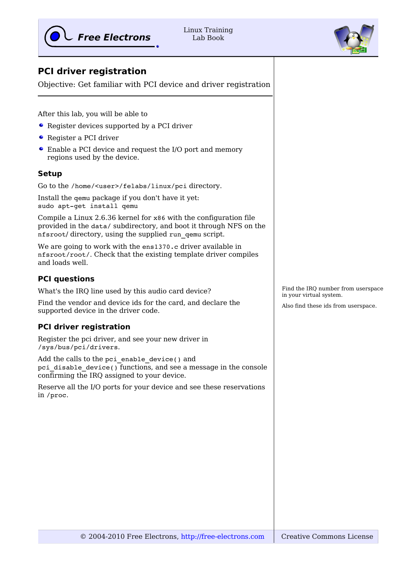

Linux Training Lab Book



## **PCI driver registration**

Objective: Get familiar with PCI device and driver registration

After this lab, you will be able to

- Register devices supported by a PCI driver
- Register a PCI driver
- Enable a PCI device and request the I/O port and memory regions used by the device.

## **Setup**

Go to the /home/<user>/felabs/linux/pci directory.

Install the qemu package if you don't have it yet: sudo apt-get install qemu

Compile a Linux 2.6.36 kernel for x86 with the configuration file provided in the data/ subdirectory, and boot it through NFS on the nfsroot/ directory, using the supplied run\_qemu script.

We are going to work with the ens1370.c driver available in nfsroot/root/. Check that the existing template driver compiles and loads well.

## **PCI questions**

What's the IRQ line used by this audio card device?

Find the vendor and device ids for the card, and declare the supported device in the driver code.

## **PCI driver registration**

Register the pci driver, and see your new driver in /sys/bus/pci/drivers.

Add the calls to the pci enable device() and pci disable device() functions, and see a message in the console confirming the IRQ assigned to your device.

Reserve all the I/O ports for your device and see these reservations in /proc.

Find the IRQ number from userspace in your virtual system.

Also find these ids from userspace.